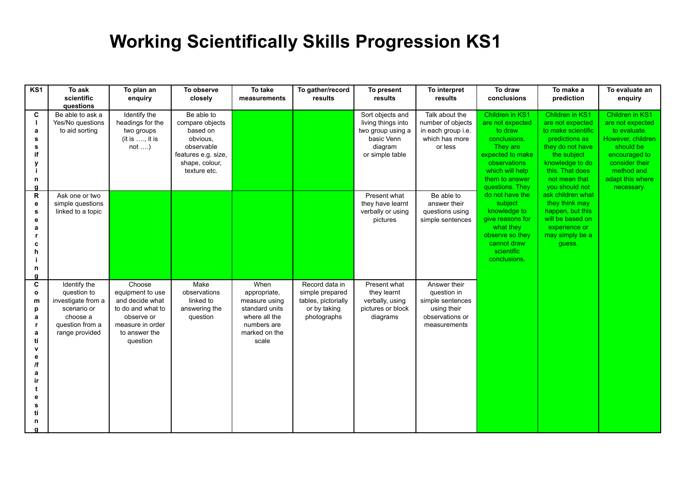## **Working Scientifically Skills Progression KS1**

| KS1                                                                                                    | To ask<br>scientific<br>questions                                                                                 | To plan an<br>enquiry                                                                                                             | To observe<br>closely                                                                                                        | To take<br>measurements                                                                                           | To gather/record<br>results                                                             | To present<br>results                                                                                   | To interpret<br>results                                                                           | To draw<br>conclusions                                                                                                                                                                                                                                                                                                                                            | To make a<br>prediction                                                                                                                                                                                                                                                  | To evaluate an<br>enquiry                                                                                                                                                |
|--------------------------------------------------------------------------------------------------------|-------------------------------------------------------------------------------------------------------------------|-----------------------------------------------------------------------------------------------------------------------------------|------------------------------------------------------------------------------------------------------------------------------|-------------------------------------------------------------------------------------------------------------------|-----------------------------------------------------------------------------------------|---------------------------------------------------------------------------------------------------------|---------------------------------------------------------------------------------------------------|-------------------------------------------------------------------------------------------------------------------------------------------------------------------------------------------------------------------------------------------------------------------------------------------------------------------------------------------------------------------|--------------------------------------------------------------------------------------------------------------------------------------------------------------------------------------------------------------------------------------------------------------------------|--------------------------------------------------------------------------------------------------------------------------------------------------------------------------|
| C<br>$\mathbf{I}$<br>a<br>s<br>s<br>if<br>y<br>n<br>a                                                  | Be able to ask a<br>Yes/No questions<br>to aid sorting                                                            | Identify the<br>headings for the<br>two groups<br>(it is $,$ it is<br>not                                                         | Be able to<br>compare objects<br>based on<br>obvious,<br>observable<br>features e.g. size,<br>shape, colour,<br>texture etc. |                                                                                                                   |                                                                                         | Sort objects and<br>living things into<br>two group using a<br>basic Venn<br>diagram<br>or simple table | Talk about the<br>number of objects<br>in each group i.e.<br>which has more<br>or less            | Children in KS1<br>Children in KS1<br>are not expected<br>are not expected<br>to draw<br>to make scientific<br>conclusions.<br>predictions as<br>They are<br>they do not have<br>expected to make<br>the subject<br>observations<br>knowledge to do<br>which will help<br>this. That does<br>them to answer<br>not mean that<br>questions. They<br>you should not | ask children what<br>do not have the<br>they think may<br>subject<br>knowledge to<br>happen, but this<br>will be based on<br>give reasons for<br>what they<br>experience or<br>observe so they<br>may simply be a<br>cannot draw<br>guess.<br>scientific<br>conclusions. | Children in KS1<br>are not expected<br>to evaluate.<br>However, children<br>should be<br>encouraged to<br>consider their<br>method and<br>adapt this where<br>necessary. |
| R<br>e<br>s<br>e<br>a<br>c<br>h<br>n<br>a                                                              | Ask one or two<br>simple questions<br>linked to a topic                                                           |                                                                                                                                   |                                                                                                                              |                                                                                                                   |                                                                                         | Present what<br>they have learnt<br>verbally or using<br>pictures                                       | Be able to<br>answer their<br>questions using<br>simple sentences                                 |                                                                                                                                                                                                                                                                                                                                                                   |                                                                                                                                                                                                                                                                          |                                                                                                                                                                          |
| C<br>$\mathbf{o}$<br>m<br>p<br>a<br>r,<br>a<br>ti<br>$\mathbf{v}$<br>е<br>/f<br>а<br>ir<br>е<br>s<br>n | Identify the<br>question to<br>investigate from a<br>scenario or<br>choose a<br>question from a<br>range provided | Choose<br>equipment to use<br>and decide what<br>to do and what to<br>observe or<br>measure in order<br>to answer the<br>question | Make<br>observations<br>linked to<br>answering the<br>question                                                               | When<br>appropriate,<br>measure using<br>standard units<br>where all the<br>numbers are<br>marked on the<br>scale | Record data in<br>simple prepared<br>tables, pictorially<br>or by taking<br>photographs | Present what<br>they learnt<br>verbally, using<br>pictures or block<br>diagrams                         | Answer their<br>question in<br>simple sentences<br>using their<br>observations or<br>measurements |                                                                                                                                                                                                                                                                                                                                                                   |                                                                                                                                                                                                                                                                          |                                                                                                                                                                          |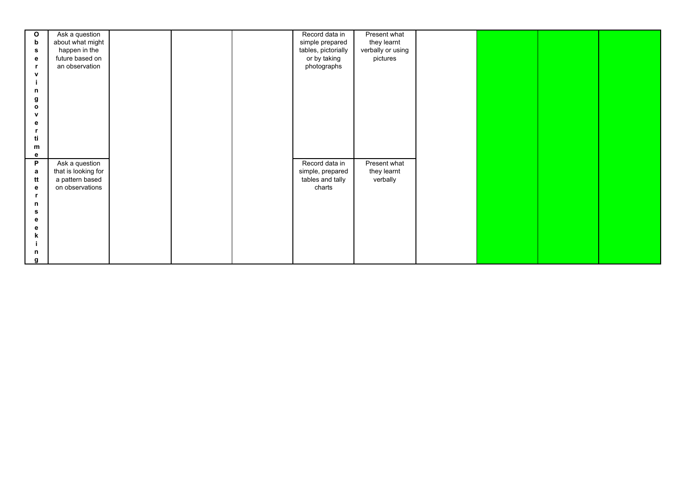| $\mathbf{o}$ | Ask a question      |  | Record data in      | Present what      |  |  |
|--------------|---------------------|--|---------------------|-------------------|--|--|
| b            | about what might    |  | simple prepared     | they learnt       |  |  |
| s            | happen in the       |  | tables, pictorially | verbally or using |  |  |
| е            | future based on     |  | or by taking        | pictures          |  |  |
| r,           | an observation      |  | photographs         |                   |  |  |
| v            |                     |  |                     |                   |  |  |
|              |                     |  |                     |                   |  |  |
| n            |                     |  |                     |                   |  |  |
| g            |                     |  |                     |                   |  |  |
| $\mathbf{o}$ |                     |  |                     |                   |  |  |
| v            |                     |  |                     |                   |  |  |
| е            |                     |  |                     |                   |  |  |
|              |                     |  |                     |                   |  |  |
| ti           |                     |  |                     |                   |  |  |
| m            |                     |  |                     |                   |  |  |
| e            |                     |  |                     |                   |  |  |
| P            | Ask a question      |  | Record data in      | Present what      |  |  |
| а            | that is looking for |  | simple, prepared    | they learnt       |  |  |
| tt           | a pattern based     |  | tables and tally    | verbally          |  |  |
| е            | on observations     |  | charts              |                   |  |  |
|              |                     |  |                     |                   |  |  |
| n            |                     |  |                     |                   |  |  |
| s            |                     |  |                     |                   |  |  |
| е            |                     |  |                     |                   |  |  |
| е            |                     |  |                     |                   |  |  |
| k            |                     |  |                     |                   |  |  |
|              |                     |  |                     |                   |  |  |
| n            |                     |  |                     |                   |  |  |
|              |                     |  |                     |                   |  |  |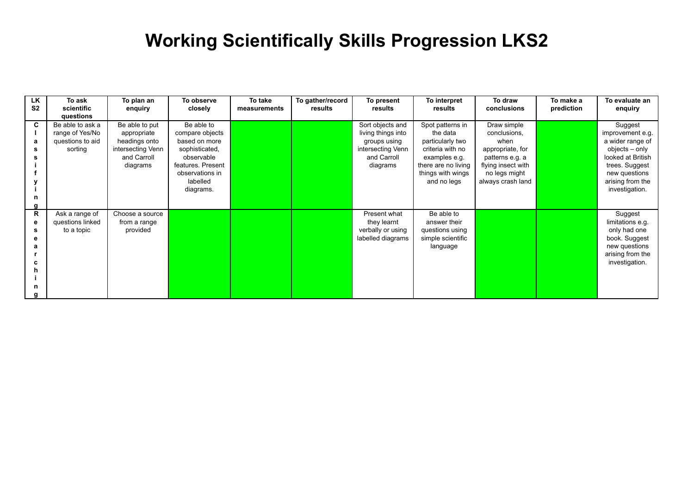## **Working Scientifically Skills Progression LKS2**

| LK<br>S <sub>2</sub>  | To ask<br>scientific<br>questions                                  | To plan an<br>enquiry                                                                          | To observe<br>closely                                                                                                                           | To take<br>measurements | To gather/record<br>results | To present<br>results                                                                                  | To interpret<br>results                                                                                                                          | To draw<br>conclusions                                                                                                                 | To make a<br>prediction | To evaluate an<br>enquiry                                                                                                                                       |
|-----------------------|--------------------------------------------------------------------|------------------------------------------------------------------------------------------------|-------------------------------------------------------------------------------------------------------------------------------------------------|-------------------------|-----------------------------|--------------------------------------------------------------------------------------------------------|--------------------------------------------------------------------------------------------------------------------------------------------------|----------------------------------------------------------------------------------------------------------------------------------------|-------------------------|-----------------------------------------------------------------------------------------------------------------------------------------------------------------|
| C<br>a<br>s<br>n<br>g | Be able to ask a<br>range of Yes/No<br>questions to aid<br>sorting | Be able to put<br>appropriate<br>headings onto<br>intersecting Venn<br>and Carroll<br>diagrams | Be able to<br>compare objects<br>based on more<br>sophisticated,<br>observable<br>features. Present<br>observations in<br>labelled<br>diagrams. |                         |                             | Sort objects and<br>living things into<br>groups using<br>intersecting Venn<br>and Carroll<br>diagrams | Spot patterns in<br>the data<br>particularly two<br>criteria with no<br>examples e.g.<br>there are no living<br>things with wings<br>and no legs | Draw simple<br>conclusions,<br>when<br>appropriate, for<br>patterns e.g. a<br>flying insect with<br>no legs might<br>always crash land |                         | Suggest<br>improvement e.g.<br>a wider range of<br>objects – only<br>looked at British<br>trees. Suggest<br>new questions<br>arising from the<br>investigation. |
| R<br>е<br>s<br>n<br>a | Ask a range of<br>questions linked<br>to a topic                   | Choose a source<br>from a range<br>provided                                                    |                                                                                                                                                 |                         |                             | Present what<br>they learnt<br>verbally or using<br>labelled diagrams                                  | Be able to<br>answer their<br>questions using<br>simple scientific<br>language                                                                   |                                                                                                                                        |                         | Suggest<br>limitations e.g.<br>only had one<br>book. Suggest<br>new questions<br>arising from the<br>investigation.                                             |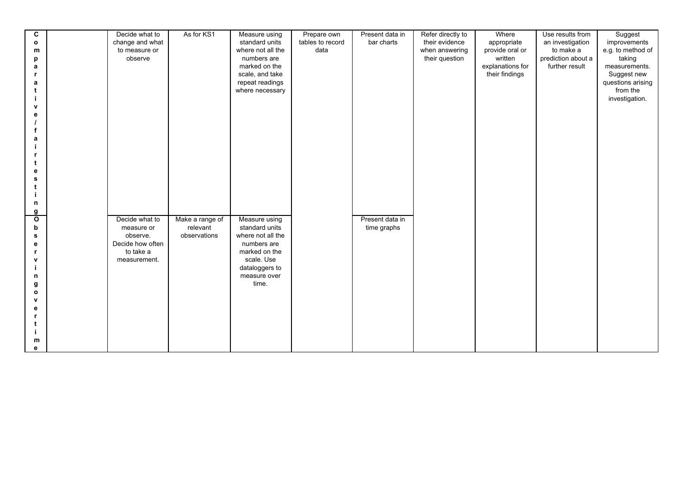| C<br>$\mathbf{o}$<br>m | Decide what to<br>change and what<br>to measure or | As for KS1               | Measure using<br>standard units<br>where not all the | Prepare own<br>tables to record<br>data | Present data in<br>bar charts | Refer directly to<br>their evidence<br>when answering | Where<br>appropriate<br>provide oral or       | Use results from<br>an investigation<br>to make a | Suggest<br>improvements<br>e.g. to method of    |
|------------------------|----------------------------------------------------|--------------------------|------------------------------------------------------|-----------------------------------------|-------------------------------|-------------------------------------------------------|-----------------------------------------------|---------------------------------------------------|-------------------------------------------------|
| p<br>a                 | observe                                            |                          | numbers are<br>marked on the<br>scale, and take      |                                         |                               | their question                                        | written<br>explanations for<br>their findings | prediction about a<br>further result              | taking<br>measurements.<br>Suggest new          |
| a                      |                                                    |                          | repeat readings<br>where necessary                   |                                         |                               |                                                       |                                               |                                                   | questions arising<br>from the<br>investigation. |
| $\mathbf v$<br>е<br>f  |                                                    |                          |                                                      |                                         |                               |                                                       |                                               |                                                   |                                                 |
| a                      |                                                    |                          |                                                      |                                         |                               |                                                       |                                               |                                                   |                                                 |
| е<br>s                 |                                                    |                          |                                                      |                                         |                               |                                                       |                                               |                                                   |                                                 |
| t<br>n                 |                                                    |                          |                                                      |                                         |                               |                                                       |                                               |                                                   |                                                 |
| g<br>$\mathbf{o}$      | Decide what to                                     | Make a range of          | Measure using                                        |                                         | Present data in               |                                                       |                                               |                                                   |                                                 |
| b<br>s                 | measure or<br>observe.                             | relevant<br>observations | standard units<br>where not all the                  |                                         | time graphs                   |                                                       |                                               |                                                   |                                                 |
| е<br>r                 | Decide how often<br>to take a                      |                          | numbers are<br>marked on the                         |                                         |                               |                                                       |                                               |                                                   |                                                 |
| v                      | measurement.                                       |                          | scale. Use<br>dataloggers to<br>measure over         |                                         |                               |                                                       |                                               |                                                   |                                                 |
| n<br>g<br>$\mathbf{o}$ |                                                    |                          | time.                                                |                                         |                               |                                                       |                                               |                                                   |                                                 |
| $\mathbf{v}$<br>е      |                                                    |                          |                                                      |                                         |                               |                                                       |                                               |                                                   |                                                 |
|                        |                                                    |                          |                                                      |                                         |                               |                                                       |                                               |                                                   |                                                 |
| m                      |                                                    |                          |                                                      |                                         |                               |                                                       |                                               |                                                   |                                                 |
| e                      |                                                    |                          |                                                      |                                         |                               |                                                       |                                               |                                                   |                                                 |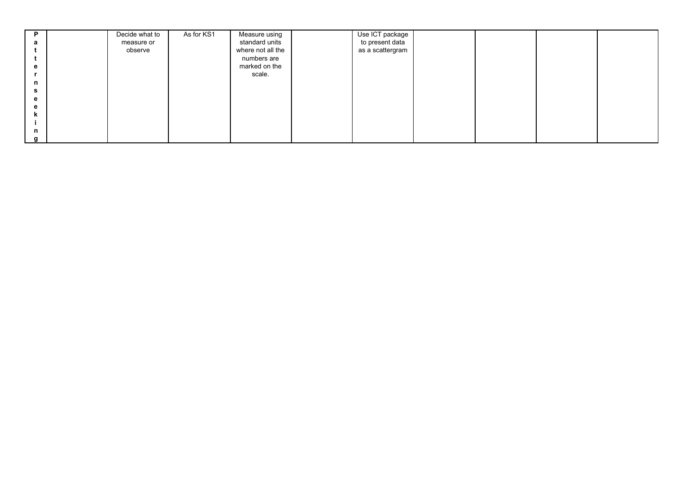| D | Decide what to | As for KS1 | Measure using     | Use ICT package  |  |  |
|---|----------------|------------|-------------------|------------------|--|--|
| а | measure or     |            | standard units    | to present data  |  |  |
|   | observe        |            | where not all the | as a scattergram |  |  |
|   |                |            | numbers are       |                  |  |  |
| e |                |            | marked on the     |                  |  |  |
|   |                |            | scale.            |                  |  |  |
| n |                |            |                   |                  |  |  |
| s |                |            |                   |                  |  |  |
| e |                |            |                   |                  |  |  |
| e |                |            |                   |                  |  |  |
|   |                |            |                   |                  |  |  |
|   |                |            |                   |                  |  |  |
| n |                |            |                   |                  |  |  |
|   |                |            |                   |                  |  |  |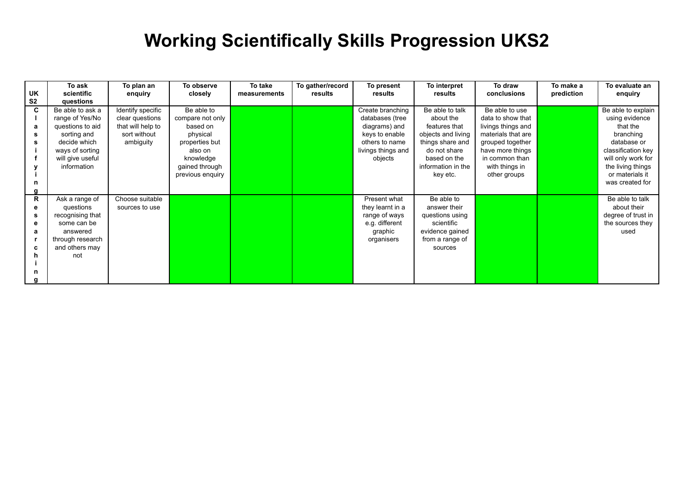## **Working Scientifically Skills Progression UKS2**

| UK             | To ask<br>scientific | To plan an<br>enquiry | To observe<br>closely | To take<br>measurements | To gather/record<br>results | To present<br>results | To interpret<br>results | To draw<br>conclusions | To make a<br>prediction | To evaluate an<br>enquiry |
|----------------|----------------------|-----------------------|-----------------------|-------------------------|-----------------------------|-----------------------|-------------------------|------------------------|-------------------------|---------------------------|
| S <sub>2</sub> | questions            |                       |                       |                         |                             |                       |                         |                        |                         |                           |
| C              | Be able to ask a     | Identify specific     | Be able to            |                         |                             | Create branching      | Be able to talk         | Be able to use         |                         | Be able to explain        |
|                | range of Yes/No      | clear questions       | compare not only      |                         |                             | databases (tree       | about the               | data to show that      |                         | using evidence            |
| a              | questions to aid     | that will help to     | based on              |                         |                             | diagrams) and         | features that           | livings things and     |                         | that the                  |
| s              | sorting and          | sort without          | physical              |                         |                             | keys to enable        | objects and living      | materials that are     |                         | branching                 |
|                | decide which         | ambiguity             | properties but        |                         |                             | others to name        | things share and        | grouped together       |                         | database or               |
|                | ways of sorting      |                       | also on               |                         |                             | livings things and    | do not share            | have more things       |                         | classification key        |
|                | will give useful     |                       | knowledge             |                         |                             | objects               | based on the            | in common than         |                         | will only work for        |
|                | information          |                       | gained through        |                         |                             |                       | information in the      | with things in         |                         | the living things         |
|                |                      |                       | previous enquiry      |                         |                             |                       | key etc.                | other groups           |                         | or materials it           |
|                |                      |                       |                       |                         |                             |                       |                         |                        |                         | was created for           |
|                |                      |                       |                       |                         |                             |                       |                         |                        |                         |                           |
| R              | Ask a range of       | Choose suitable       |                       |                         |                             | Present what          | Be able to              |                        |                         | Be able to talk           |
| е              | questions            | sources to use        |                       |                         |                             | they learnt in a      | answer their            |                        |                         | about their               |
| s              | recognising that     |                       |                       |                         |                             | range of ways         | questions using         |                        |                         | degree of trust in        |
|                | some can be          |                       |                       |                         |                             | e.g. different        | scientific              |                        |                         | the sources they          |
| а              | answered             |                       |                       |                         |                             | graphic               | evidence gained         |                        |                         | used                      |
|                | through research     |                       |                       |                         |                             | organisers            | from a range of         |                        |                         |                           |
| c              | and others may       |                       |                       |                         |                             |                       | sources                 |                        |                         |                           |
|                | not                  |                       |                       |                         |                             |                       |                         |                        |                         |                           |
|                |                      |                       |                       |                         |                             |                       |                         |                        |                         |                           |
|                |                      |                       |                       |                         |                             |                       |                         |                        |                         |                           |
|                |                      |                       |                       |                         |                             |                       |                         |                        |                         |                           |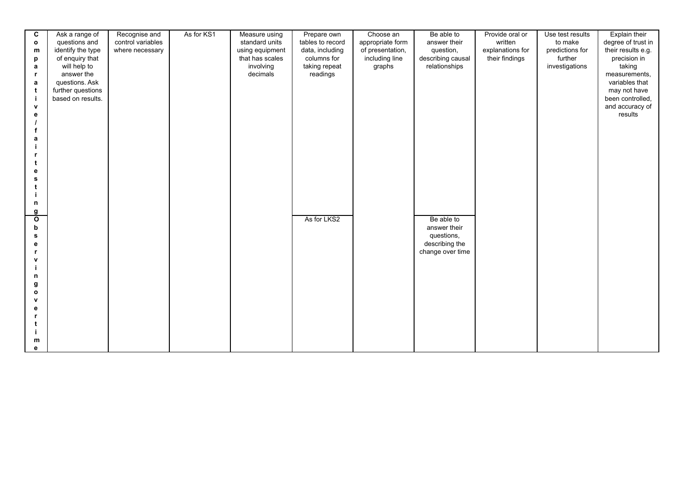| C            | Ask a range of                      | Recognise and     | As for KS1 | Measure using   | Prepare own      | Choose an        | Be able to        | Provide oral or  | Use test results | Explain their                    |
|--------------|-------------------------------------|-------------------|------------|-----------------|------------------|------------------|-------------------|------------------|------------------|----------------------------------|
| $\mathbf{o}$ | questions and                       | control variables |            | standard units  | tables to record | appropriate form | answer their      | written          | to make          | degree of trust in               |
| m            | identify the type                   | where necessary   |            | using equipment | data, including  | of presentation, | question,         | explanations for | predictions for  | their results e.g.               |
| р            | of enquiry that                     |                   |            | that has scales | columns for      | including line   | describing causal | their findings   | further          | precision in                     |
| a            | will help to                        |                   |            | involving       | taking repeat    | graphs           | relationships     |                  | investigations   | taking                           |
|              | answer the                          |                   |            | decimals        | readings         |                  |                   |                  |                  | measurements,                    |
| a            | questions. Ask<br>further questions |                   |            |                 |                  |                  |                   |                  |                  | variables that                   |
| t<br>j       | based on results.                   |                   |            |                 |                  |                  |                   |                  |                  | may not have<br>been controlled, |
| $\mathbf{v}$ |                                     |                   |            |                 |                  |                  |                   |                  |                  | and accuracy of                  |
| e            |                                     |                   |            |                 |                  |                  |                   |                  |                  | results                          |
|              |                                     |                   |            |                 |                  |                  |                   |                  |                  |                                  |
|              |                                     |                   |            |                 |                  |                  |                   |                  |                  |                                  |
| a            |                                     |                   |            |                 |                  |                  |                   |                  |                  |                                  |
|              |                                     |                   |            |                 |                  |                  |                   |                  |                  |                                  |
|              |                                     |                   |            |                 |                  |                  |                   |                  |                  |                                  |
| t            |                                     |                   |            |                 |                  |                  |                   |                  |                  |                                  |
| e<br>s       |                                     |                   |            |                 |                  |                  |                   |                  |                  |                                  |
| t            |                                     |                   |            |                 |                  |                  |                   |                  |                  |                                  |
|              |                                     |                   |            |                 |                  |                  |                   |                  |                  |                                  |
| n            |                                     |                   |            |                 |                  |                  |                   |                  |                  |                                  |
| g            |                                     |                   |            |                 |                  |                  |                   |                  |                  |                                  |
| $\mathbf{o}$ |                                     |                   |            |                 | As for LKS2      |                  | Be able to        |                  |                  |                                  |
| b            |                                     |                   |            |                 |                  |                  | answer their      |                  |                  |                                  |
| s            |                                     |                   |            |                 |                  |                  | questions,        |                  |                  |                                  |
| е            |                                     |                   |            |                 |                  |                  | describing the    |                  |                  |                                  |
|              |                                     |                   |            |                 |                  |                  | change over time  |                  |                  |                                  |
| v            |                                     |                   |            |                 |                  |                  |                   |                  |                  |                                  |
| n            |                                     |                   |            |                 |                  |                  |                   |                  |                  |                                  |
| g            |                                     |                   |            |                 |                  |                  |                   |                  |                  |                                  |
| $\mathbf{o}$ |                                     |                   |            |                 |                  |                  |                   |                  |                  |                                  |
| v            |                                     |                   |            |                 |                  |                  |                   |                  |                  |                                  |
| e            |                                     |                   |            |                 |                  |                  |                   |                  |                  |                                  |
|              |                                     |                   |            |                 |                  |                  |                   |                  |                  |                                  |
|              |                                     |                   |            |                 |                  |                  |                   |                  |                  |                                  |
|              |                                     |                   |            |                 |                  |                  |                   |                  |                  |                                  |
| m<br>e       |                                     |                   |            |                 |                  |                  |                   |                  |                  |                                  |